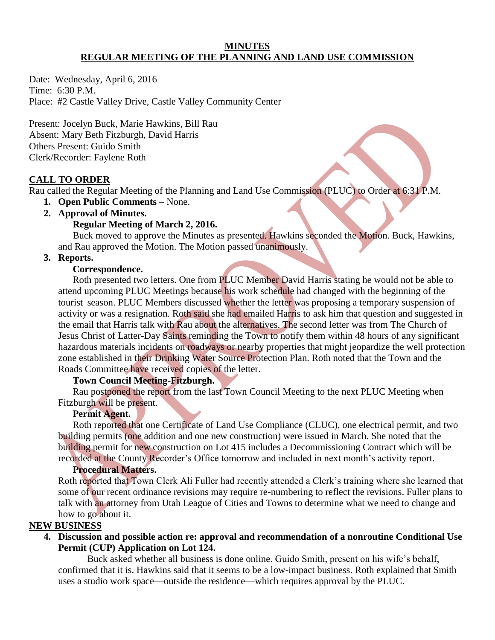#### **MINUTES REGULAR MEETING OF THE PLANNING AND LAND USE COMMISSION**

Date: Wednesday, April 6, 2016 Time: 6:30 P.M. Place: #2 Castle Valley Drive, Castle Valley Community Center

Present: Jocelyn Buck, Marie Hawkins, Bill Rau Absent: Mary Beth Fitzburgh, David Harris Others Present: Guido Smith Clerk/Recorder: Faylene Roth

#### **CALL TO ORDER**

Rau called the Regular Meeting of the Planning and Land Use Commission (PLUC) to Order at 6:31 P.M.

- **1. Open Public Comments**  None.
- **2. Approval of Minutes.**

### **Regular Meeting of March 2, 2016.**

 Buck moved to approve the Minutes as presented. Hawkins seconded the Motion. Buck, Hawkins, and Rau approved the Motion. The Motion passed unanimously.

### **3. Reports.**

#### **Correspondence.**

 Roth presented two letters. One from PLUC Member David Harris stating he would not be able to attend upcoming PLUC Meetings because his work schedule had changed with the beginning of the tourist season. PLUC Members discussed whether the letter was proposing a temporary suspension of activity or was a resignation. Roth said she had emailed Harris to ask him that question and suggested in the email that Harris talk with Rau about the alternatives. The second letter was from The Church of Jesus Christ of Latter-Day Saints reminding the Town to notify them within 48 hours of any significant hazardous materials incidents on roadways or nearby properties that might jeopardize the well protection zone established in their Drinking Water Source Protection Plan. Roth noted that the Town and the Roads Committee have received copies of the letter.

#### **Town Council Meeting-Fitzburgh.**

 Rau postponed the report from the last Town Council Meeting to the next PLUC Meeting when Fitzburgh will be present.

### **Permit Agent.**

 Roth reported that one Certificate of Land Use Compliance (CLUC), one electrical permit, and two building permits (one addition and one new construction) were issued in March. She noted that the building permit for new construction on Lot 415 includes a Decommissioning Contract which will be recorded at the County Recorder's Office tomorrow and included in next month's activity report.

## **Procedural Matters.**

Roth reported that Town Clerk Ali Fuller had recently attended a Clerk's training where she learned that some of our recent ordinance revisions may require re-numbering to reflect the revisions. Fuller plans to talk with an attorney from Utah League of Cities and Towns to determine what we need to change and how to go about it.

# **NEW BUSINESS**

**4. Discussion and possible action re: approval and recommendation of a nonroutine Conditional Use Permit (CUP) Application on Lot 124.**

Buck asked whether all business is done online. Guido Smith, present on his wife's behalf, confirmed that it is. Hawkins said that it seems to be a low-impact business. Roth explained that Smith uses a studio work space—outside the residence—which requires approval by the PLUC.